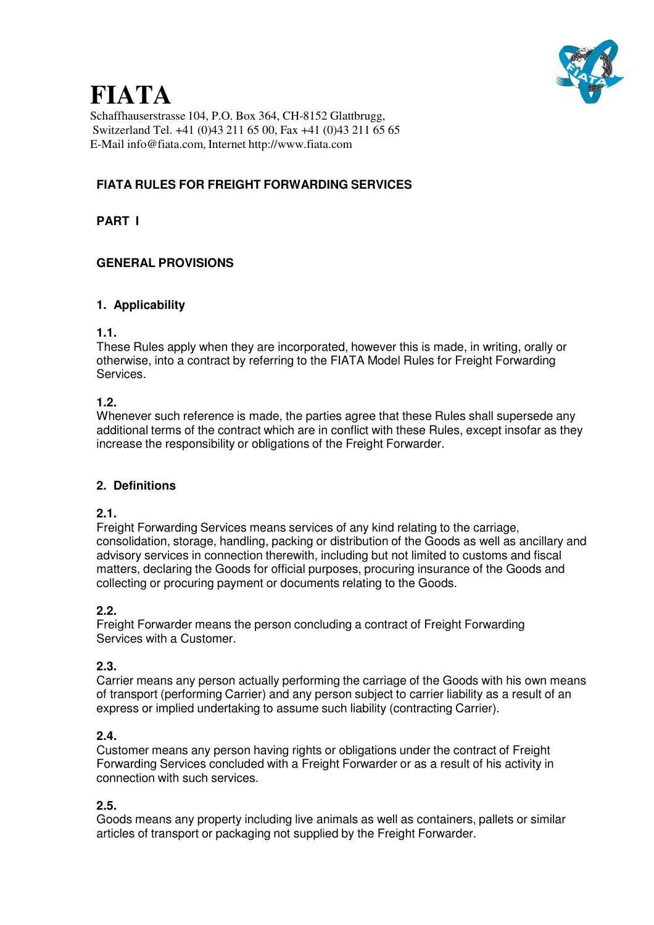

Schaffhauserstrasse 104, P.O. Box 364, CH-8152 Glattbrugg, Switzerland Tel. +41 (0)43 211 65 00, Fax +41 (0)43 211 65 65 E-Mail info@fiata.com, Internet http://www.fiata.com

# **FIATA RULES FOR FREIGHT FORWARDING SERVICES**

**PART I**

### **GENERAL PROVISIONS**

#### **1. Applicability**

#### **1.1.**

These Rules apply when they are incorporated, however this is made, in writing, orally or otherwise, into a contract by referring to the FIATA Model Rules for Freight Forwarding Services.

#### **1.2.**

Whenever such reference is made, the parties agree that these Rules shall supersede any additional terms of the contract which are in conflict with these Rules, except insofar as they increase the responsibility or obligations of the Freight Forwarder.

#### **2. Definitions**

#### **2.1.**

Freight Forwarding Services means services of any kind relating to the carriage, consolidation, storage, handling, packing or distribution of the Goods as well as ancillary and advisory services in connection therewith, including but not limited to customs and fiscal matters, declaring the Goods for official purposes, procuring insurance of the Goods and collecting or procuring payment or documents relating to the Goods.

#### **2.2.**

Freight Forwarder means the person concluding a contract of Freight Forwarding Services with a Customer.

#### **2.3.**

Carrier means any person actually performing the carriage of the Goods with his own means of transport (performing Carrier) and any person subject to carrier liability as a result of an express or implied undertaking to assume such liability (contracting Carrier).

#### **2.4.**

Customer means any person having rights or obligations under the contract of Freight Forwarding Services concluded with a Freight Forwarder or as a result of his activity in connection with such services.

#### **2.5.**

Goods means any property including live animals as well as containers, pallets or similar articles of transport or packaging not supplied by the Freight Forwarder.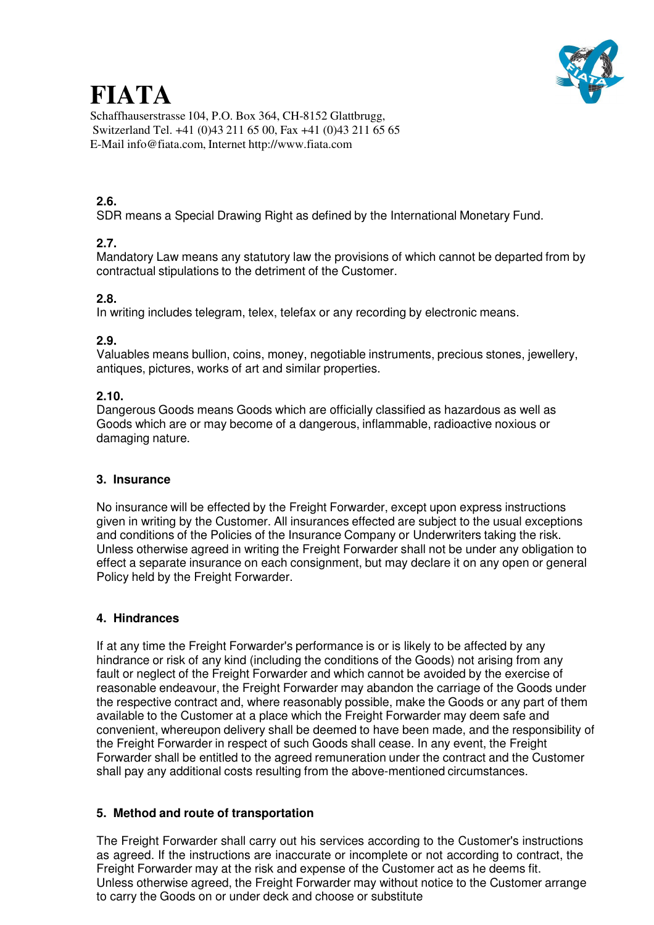Schaffhauserstrasse 104, P.O. Box 364, CH-8152 Glattbrugg, Switzerland Tel. +41 (0)43 211 65 00, Fax +41 (0)43 211 65 65 E-Mail info@fiata.com, Internet http://www.fiata.com

# **2.6.**

SDR means a Special Drawing Right as defined by the International Monetary Fund.

# **2.7.**

Mandatory Law means any statutory law the provisions of which cannot be departed from by contractual stipulations to the detriment of the Customer.

# **2.8.**

In writing includes telegram, telex, telefax or any recording by electronic means.

# **2.9.**

Valuables means bullion, coins, money, negotiable instruments, precious stones, jewellery, antiques, pictures, works of art and similar properties.

# **2.10.**

Dangerous Goods means Goods which are officially classified as hazardous as well as Goods which are or may become of a dangerous, inflammable, radioactive noxious or damaging nature.

# **3. Insurance**

No insurance will be effected by the Freight Forwarder, except upon express instructions given in writing by the Customer. All insurances effected are subject to the usual exceptions and conditions of the Policies of the Insurance Company or Underwriters taking the risk. Unless otherwise agreed in writing the Freight Forwarder shall not be under any obligation to effect a separate insurance on each consignment, but may declare it on any open or general Policy held by the Freight Forwarder.

# **4. Hindrances**

If at any time the Freight Forwarder's performance is or is likely to be affected by any hindrance or risk of any kind (including the conditions of the Goods) not arising from any fault or neglect of the Freight Forwarder and which cannot be avoided by the exercise of reasonable endeavour, the Freight Forwarder may abandon the carriage of the Goods under the respective contract and, where reasonably possible, make the Goods or any part of them available to the Customer at a place which the Freight Forwarder may deem safe and convenient, whereupon delivery shall be deemed to have been made, and the responsibility of the Freight Forwarder in respect of such Goods shall cease. In any event, the Freight Forwarder shall be entitled to the agreed remuneration under the contract and the Customer shall pay any additional costs resulting from the above-mentioned circumstances.

# **5. Method and route of transportation**

The Freight Forwarder shall carry out his services according to the Customer's instructions as agreed. If the instructions are inaccurate or incomplete or not according to contract, the Freight Forwarder may at the risk and expense of the Customer act as he deems fit. Unless otherwise agreed, the Freight Forwarder may without notice to the Customer arrange to carry the Goods on or under deck and choose or substitute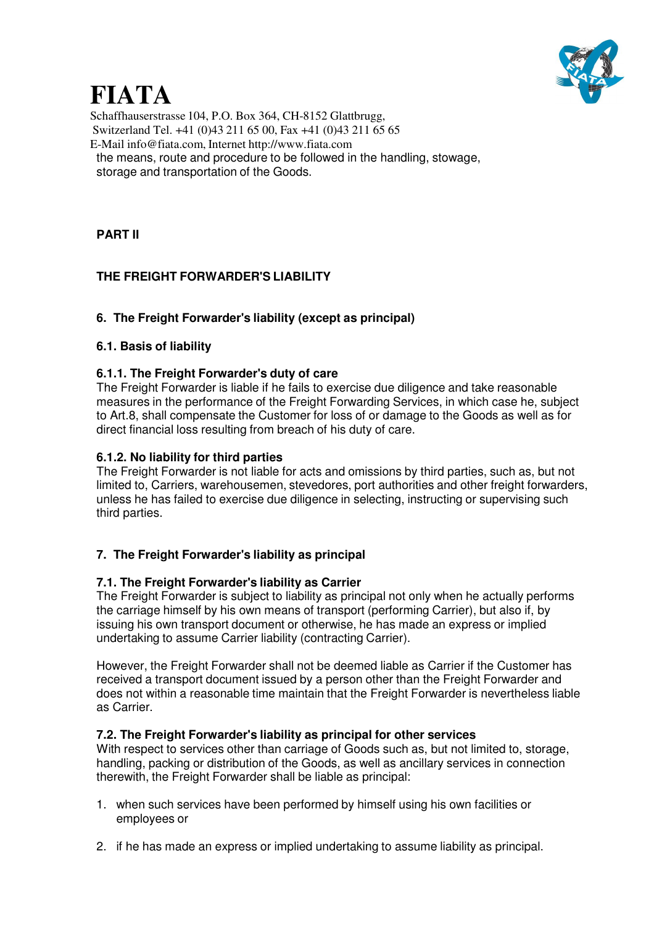

Schaffhauserstrasse 104, P.O. Box 364, CH-8152 Glattbrugg, Switzerland Tel. +41 (0)43 211 65 00, Fax +41 (0)43 211 65 65 E-Mail info@fiata.com, Internet http://www.fiata.com the means, route and procedure to be followed in the handling, stowage, storage and transportation of the Goods.

# **PART II**

# **THE FREIGHT FORWARDER'S LIABILITY**

### **6. The Freight Forwarder's liability (except as principal)**

#### **6.1. Basis of liability**

#### **6.1.1. The Freight Forwarder's duty of care**

The Freight Forwarder is liable if he fails to exercise due diligence and take reasonable measures in the performance of the Freight Forwarding Services, in which case he, subject to Art.8, shall compensate the Customer for loss of or damage to the Goods as well as for direct financial loss resulting from breach of his duty of care.

#### **6.1.2. No liability for third parties**

The Freight Forwarder is not liable for acts and omissions by third parties, such as, but not limited to, Carriers, warehousemen, stevedores, port authorities and other freight forwarders, unless he has failed to exercise due diligence in selecting, instructing or supervising such third parties.

#### **7. The Freight Forwarder's liability as principal**

#### **7.1. The Freight Forwarder's liability as Carrier**

The Freight Forwarder is subject to liability as principal not only when he actually performs the carriage himself by his own means of transport (performing Carrier), but also if, by issuing his own transport document or otherwise, he has made an express or implied undertaking to assume Carrier liability (contracting Carrier).

However, the Freight Forwarder shall not be deemed liable as Carrier if the Customer has received a transport document issued by a person other than the Freight Forwarder and does not within a reasonable time maintain that the Freight Forwarder is nevertheless liable as Carrier.

#### **7.2. The Freight Forwarder's liability as principal for other services**

With respect to services other than carriage of Goods such as, but not limited to, storage, handling, packing or distribution of the Goods, as well as ancillary services in connection therewith, the Freight Forwarder shall be liable as principal:

- 1. when such services have been performed by himself using his own facilities or employees or
- 2. if he has made an express or implied undertaking to assume liability as principal.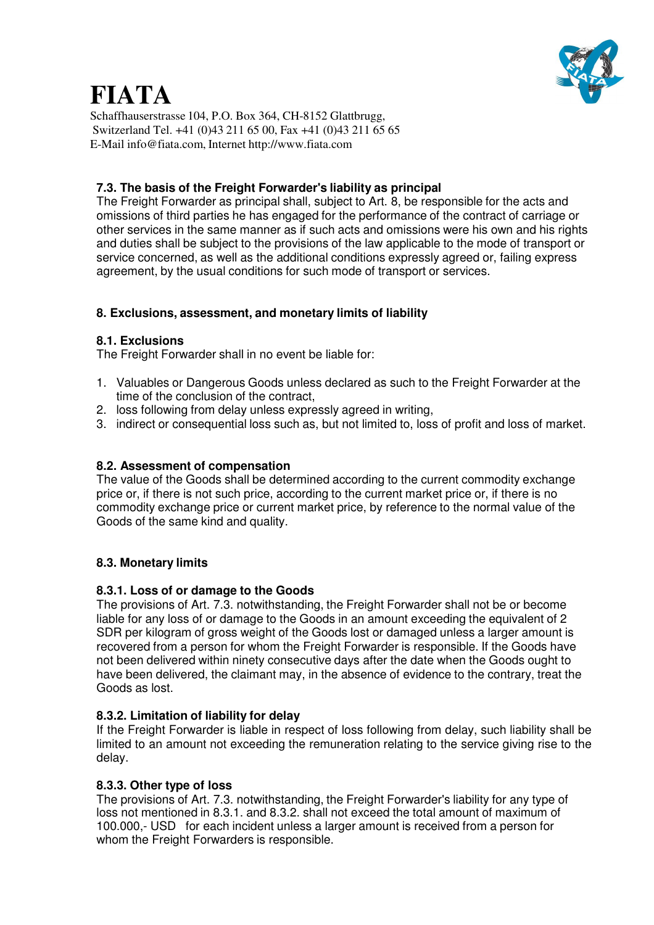

Schaffhauserstrasse 104, P.O. Box 364, CH-8152 Glattbrugg, Switzerland Tel. +41 (0)43 211 65 00, Fax +41 (0)43 211 65 65 E-Mail info@fiata.com, Internet http://www.fiata.com

#### **7.3. The basis of the Freight Forwarder's liability as principal**

The Freight Forwarder as principal shall, subject to Art. 8, be responsible for the acts and omissions of third parties he has engaged for the performance of the contract of carriage or other services in the same manner as if such acts and omissions were his own and his rights and duties shall be subject to the provisions of the law applicable to the mode of transport or service concerned, as well as the additional conditions expressly agreed or, failing express agreement, by the usual conditions for such mode of transport or services.

### **8. Exclusions, assessment, and monetary limits of liability**

#### **8.1. Exclusions**

The Freight Forwarder shall in no event be liable for:

- 1. Valuables or Dangerous Goods unless declared as such to the Freight Forwarder at the time of the conclusion of the contract,
- 2. loss following from delay unless expressly agreed in writing,
- 3. indirect or consequential loss such as, but not limited to, loss of profit and loss of market.

#### **8.2. Assessment of compensation**

The value of the Goods shall be determined according to the current commodity exchange price or, if there is not such price, according to the current market price or, if there is no commodity exchange price or current market price, by reference to the normal value of the Goods of the same kind and quality.

#### **8.3. Monetary limits**

#### **8.3.1. Loss of or damage to the Goods**

The provisions of Art. 7.3. notwithstanding, the Freight Forwarder shall not be or become liable for any loss of or damage to the Goods in an amount exceeding the equivalent of 2 SDR per kilogram of gross weight of the Goods lost or damaged unless a larger amount is recovered from a person for whom the Freight Forwarder is responsible. If the Goods have not been delivered within ninety consecutive days after the date when the Goods ought to have been delivered, the claimant may, in the absence of evidence to the contrary, treat the Goods as lost.

#### **8.3.2. Limitation of liability for delay**

If the Freight Forwarder is liable in respect of loss following from delay, such liability shall be limited to an amount not exceeding the remuneration relating to the service giving rise to the delay.

#### **8.3.3. Other type of loss**

The provisions of Art. 7.3. notwithstanding, the Freight Forwarder's liability for any type of loss not mentioned in 8.3.1. and 8.3.2. shall not exceed the total amount of maximum of 100.000,- USD for each incident unless a larger amount is received from a person for whom the Freight Forwarders is responsible.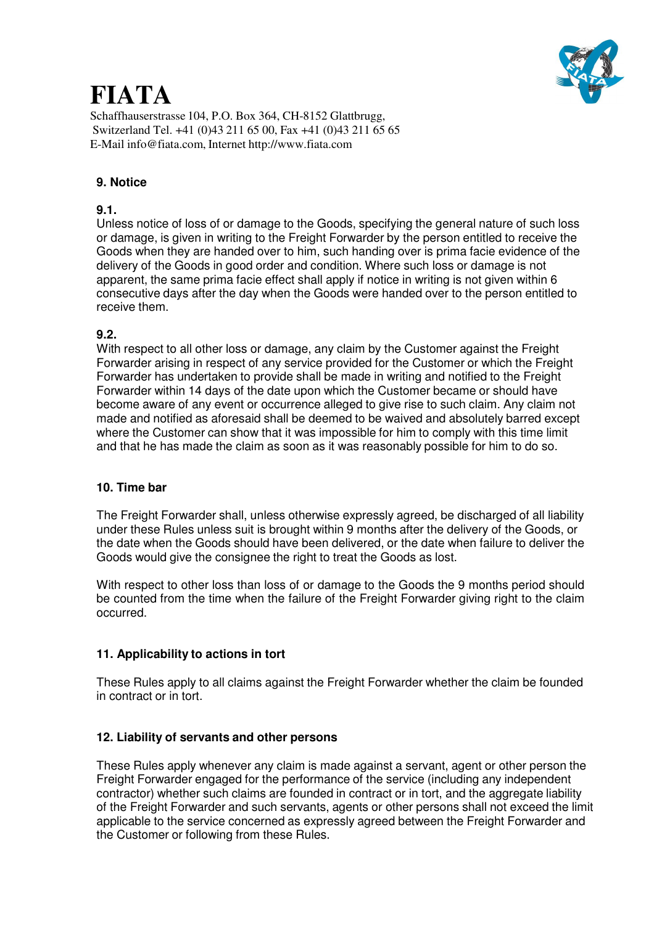

Schaffhauserstrasse 104, P.O. Box 364, CH-8152 Glattbrugg, Switzerland Tel. +41 (0)43 211 65 00, Fax +41 (0)43 211 65 65 E-Mail info@fiata.com, Internet http://www.fiata.com

### **9. Notice**

#### **9.1.**

Unless notice of loss of or damage to the Goods, specifying the general nature of such loss or damage, is given in writing to the Freight Forwarder by the person entitled to receive the Goods when they are handed over to him, such handing over is prima facie evidence of the delivery of the Goods in good order and condition. Where such loss or damage is not apparent, the same prima facie effect shall apply if notice in writing is not given within 6 consecutive days after the day when the Goods were handed over to the person entitled to receive them.

#### **9.2.**

With respect to all other loss or damage, any claim by the Customer against the Freight Forwarder arising in respect of any service provided for the Customer or which the Freight Forwarder has undertaken to provide shall be made in writing and notified to the Freight Forwarder within 14 days of the date upon which the Customer became or should have become aware of any event or occurrence alleged to give rise to such claim. Any claim not made and notified as aforesaid shall be deemed to be waived and absolutely barred except where the Customer can show that it was impossible for him to comply with this time limit and that he has made the claim as soon as it was reasonably possible for him to do so.

#### **10. Time bar**

The Freight Forwarder shall, unless otherwise expressly agreed, be discharged of all liability under these Rules unless suit is brought within 9 months after the delivery of the Goods, or the date when the Goods should have been delivered, or the date when failure to deliver the Goods would give the consignee the right to treat the Goods as lost.

With respect to other loss than loss of or damage to the Goods the 9 months period should be counted from the time when the failure of the Freight Forwarder giving right to the claim occurred.

#### **11. Applicability to actions in tort**

These Rules apply to all claims against the Freight Forwarder whether the claim be founded in contract or in tort.

#### **12. Liability of servants and other persons**

These Rules apply whenever any claim is made against a servant, agent or other person the Freight Forwarder engaged for the performance of the service (including any independent contractor) whether such claims are founded in contract or in tort, and the aggregate liability of the Freight Forwarder and such servants, agents or other persons shall not exceed the limit applicable to the service concerned as expressly agreed between the Freight Forwarder and the Customer or following from these Rules.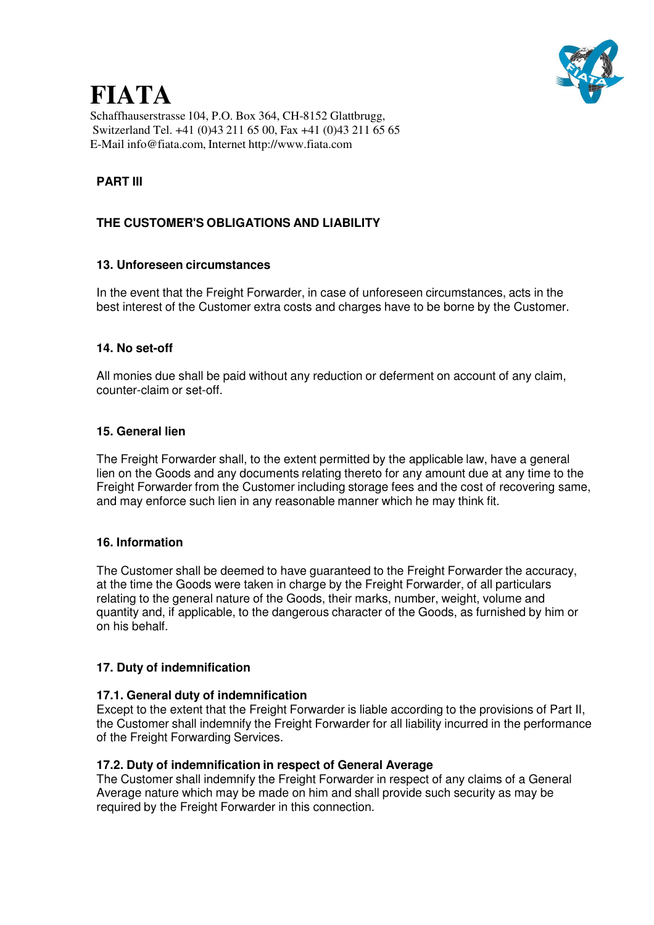

Schaffhauserstrasse 104, P.O. Box 364, CH-8152 Glattbrugg, Switzerland Tel. +41 (0)43 211 65 00, Fax +41 (0)43 211 65 65 E-Mail info@fiata.com, Internet http://www.fiata.com

# **PART III**

# **THE CUSTOMER'S OBLIGATIONS AND LIABILITY**

#### **13. Unforeseen circumstances**

In the event that the Freight Forwarder, in case of unforeseen circumstances, acts in the best interest of the Customer extra costs and charges have to be borne by the Customer.

#### **14. No set-off**

All monies due shall be paid without any reduction or deferment on account of any claim, counter-claim or set-off.

#### **15. General lien**

The Freight Forwarder shall, to the extent permitted by the applicable law, have a general lien on the Goods and any documents relating thereto for any amount due at any time to the Freight Forwarder from the Customer including storage fees and the cost of recovering same, and may enforce such lien in any reasonable manner which he may think fit.

#### **16. Information**

The Customer shall be deemed to have guaranteed to the Freight Forwarder the accuracy, at the time the Goods were taken in charge by the Freight Forwarder, of all particulars relating to the general nature of the Goods, their marks, number, weight, volume and quantity and, if applicable, to the dangerous character of the Goods, as furnished by him or on his behalf.

#### **17. Duty of indemnification**

#### **17.1. General duty of indemnification**

Except to the extent that the Freight Forwarder is liable according to the provisions of Part II, the Customer shall indemnify the Freight Forwarder for all liability incurred in the performance of the Freight Forwarding Services.

#### **17.2. Duty of indemnification in respect of General Average**

The Customer shall indemnify the Freight Forwarder in respect of any claims of a General Average nature which may be made on him and shall provide such security as may be required by the Freight Forwarder in this connection.